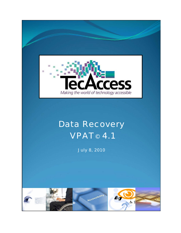

# Data Recovery VPAT© 4.1

July 8, 2010

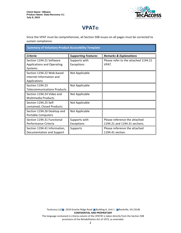I



## **VPAT**®

Since the VPAT must be comprehensive, all Section 508 issues on all pages must be corrected to sustain compliance.

**Summary of Voluntary Product Accessibility Template** 

| <b>Criteria</b>                                                          | <b>Supporting Features</b>  | <b>Remarks &amp; Explanations</b>                              |
|--------------------------------------------------------------------------|-----------------------------|----------------------------------------------------------------|
| Section 1194.21 Software<br><b>Applications and Operating</b><br>Systems | Supports with<br>Exceptions | Please refer to the attached 1194.21<br>VPAT.                  |
| Section 1194.22 Web-based<br>Internet Information and<br>Applications    | Not Applicable              |                                                                |
| Section 1194.23<br><b>Telecommunications Products</b>                    | Not Applicable              |                                                                |
| Section 1194.24 Video and<br><b>Multimedia Products</b>                  | Not Applicable              |                                                                |
| Section 1194.25 Self-<br>contained, Closed Products                      | Not Applicable              |                                                                |
| Section 1194.26 Desktop and<br><b>Portable Computers</b>                 | Not Applicable              |                                                                |
| Section 1194.31 Functional<br>Performance Criteria                       | Supports with<br>Exceptions | Please reference the attached<br>1194.21 and 1194.31 sections. |
| Section 1194.41 Information,<br>Documentation and Support                | Supports                    | Please reference the attached<br>1194.41 section.              |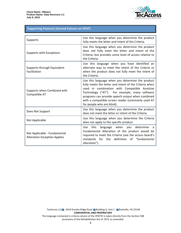

#### **Supporting Features (Second Column on VPAT)**

| Supports                                                            | Use this language when you determine the product<br>fully meets the letter and intent of the Criteria.                                                                                                                                                                                                                                              |
|---------------------------------------------------------------------|-----------------------------------------------------------------------------------------------------------------------------------------------------------------------------------------------------------------------------------------------------------------------------------------------------------------------------------------------------|
| Supports with Exceptions                                            | Use this language when you determine the product<br>does not fully meet the letter and intent of the<br>Criteria, but provides some level of access relative to<br>the Criteria.                                                                                                                                                                    |
| Supports through Equivalent<br>Facilitation                         | Use this language when you have identified an<br>alternate way to meet the intent of the Criteria or<br>when the product does not fully meet the intent of<br>the Criteria.                                                                                                                                                                         |
| Supports when Combined with<br>Compatible AT                        | Use this language when you determine the product<br>fully meets the letter and intent of the Criteria when<br>used in combination with Compatible Assistive<br>Technology ("AT"). For example, many software<br>programs can provide speech output when combined<br>with a compatible screen reader (commonly used AT<br>for people who are blind). |
| Does Not Support                                                    | Use this language when you determine the product<br>does not meet the letter or intent of the Criteria.                                                                                                                                                                                                                                             |
| Not Applicable                                                      | Use this language when you determine the Criteria<br>does not apply to the specific product.                                                                                                                                                                                                                                                        |
| Not Applicable - Fundamental<br><b>Alteration Exception Applies</b> | language when you determine<br>Use.<br>this<br>a<br>Fundamental Alteration of the product would be<br>required to meet the Criteria (see the access board's<br>definition of "fundamental<br>standards<br>for<br>the<br>alteration").                                                                                                               |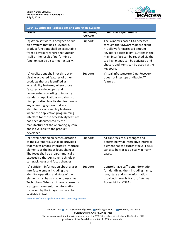

| 1194.21 Software Applications and Operating Systems                                                                                                                                                                                                                                                                                                                                                                                                                                                                                                                                               |                                         |                                                                                                                                                                                                                                                                                        |
|---------------------------------------------------------------------------------------------------------------------------------------------------------------------------------------------------------------------------------------------------------------------------------------------------------------------------------------------------------------------------------------------------------------------------------------------------------------------------------------------------------------------------------------------------------------------------------------------------|-----------------------------------------|----------------------------------------------------------------------------------------------------------------------------------------------------------------------------------------------------------------------------------------------------------------------------------------|
| जारदााप                                                                                                                                                                                                                                                                                                                                                                                                                                                                                                                                                                                           | <del>วนpportmy</del><br><b>Features</b> | <del>nemurns &amp; Explumations</del>                                                                                                                                                                                                                                                  |
| (a) When software is designed to run<br>on a system that has a keyboard,<br>product functions shall be executable<br>from a keyboard where the function<br>itself or the result of performing a<br>function can be discerned textually.                                                                                                                                                                                                                                                                                                                                                           | Supports                                | The Windows based GUI accessed<br>through the VMware vSphere client<br>4.1 allows for increased amount<br>keyboard accessibility. Buttons in the<br>main interface can be reached via the<br>tab key, menus can be activated and<br>chosen, and items can be used via the<br>keyboard. |
| (b) Applications shall not disrupt or<br>disable activated features of other<br>products that are identified as<br>accessibility features, where those<br>features are developed and<br>documented according to industry<br>standards. Applications also shall not<br>disrupt or disable activated features of<br>any operating system that are<br>identified as accessibility features<br>where the application programming<br>interface for those accessibility features<br>has been documented by the<br>manufacturer of the operating system<br>and is available to the product<br>developer. | Supports                                | Virtual Infrastructure Data Recovery<br>does not interrupt or disable AT<br>features.                                                                                                                                                                                                  |
| (c) A well-defined on-screen dictation<br>of the current focus shall be provided<br>that moves among interactive interface<br>elements as the input focus changes.<br>The focus shall be programmatically<br>exposed so that Assistive Technology<br>can track focus and focus changes.                                                                                                                                                                                                                                                                                                           | Supports                                | AT can track focus changes and<br>determine what interactive interface<br>element has the current focus. Focus<br>can also be tracked visually in many<br>cases.                                                                                                                       |
| (d) Sufficient information about a user<br>interface element including the<br>identity, operation and state of the<br>element shall be available to Assistive<br>Technology. When an image represents<br>a program element, the information<br>conveyed by the image must also be<br>available in text.                                                                                                                                                                                                                                                                                           | Supports                                | Controls have sufficient information<br>for identifying them including name,<br>role, state and value information<br>provided through Microsoft Active<br>Accessibility (MSAA).                                                                                                        |

1194.21 Software Applications and Operating Systems

### TecAccess LLC 2410 Granite Ridge Road Building A, Unit 1 Rockville, VA 23146 **CONFIDENTIAL AND PROPRIETARY**

The language contained in criteria column of the VPAT© is taken directly from the Section 508 provisions of the Rehabilitation Act of 1973, as amended.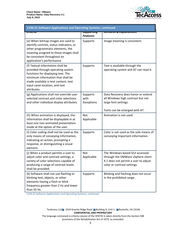

| 1194.21 Software Applications and Operating Systems, continued                                                                                                                                                                            |                                         |                                                                                                                                            |
|-------------------------------------------------------------------------------------------------------------------------------------------------------------------------------------------------------------------------------------------|-----------------------------------------|--------------------------------------------------------------------------------------------------------------------------------------------|
| जाप्ताप                                                                                                                                                                                                                                   | <del>วนpportmy</del><br><b>Features</b> | nemarks <del>&amp; Explanations</del>                                                                                                      |
| (e) When bitmap images are used to<br>identify controls, status indicators, or<br>other programmatic elements, the<br>meaning assigned to those images shall<br>be consistent throughout an<br>application's performance.                 | Supports                                | Image meaning is consistent.                                                                                                               |
| (f) Textual information shall be<br>provided through operating system<br>functions for displaying text. The<br>minimum information that shall be<br>made available is text content, text<br>input caret location, and text<br>attributes. | Supports                                | Text is available through the<br>operating system and AT can read it.                                                                      |
| (g) Applications shall not override user<br>selected contrast and color selections<br>and other individual display attributes.                                                                                                            | Supports<br>with<br>Exceptions          | Data Recovery does honor or extend<br>all Windows high contrast but not<br>large font settings.                                            |
|                                                                                                                                                                                                                                           |                                         | Fonts can be enlarged with AT.                                                                                                             |
| (h) When animation is displayed, the<br>information shall be displayable in at<br>least one non-animated presentation<br>mode at the option of the user.                                                                                  | <b>Not</b><br>Applicable                | Animation is not used.                                                                                                                     |
| (i) Color coding shall not be used as the<br>only means of conveying information,<br>indicating an action, prompting a<br>response, or distinguishing a visual<br>element.                                                                | Supports                                | Color is not used as the sole means of<br>conveying important information.                                                                 |
| (i) When a product permits a user to<br>adjust color and contrast settings, a<br>variety of color selections capable of<br>producing a range of contrast levels<br>shall be provided.                                                     | <b>Not</b><br>Applicable                | The Windows based GUI accessed<br>through the VMWare vSphere client<br>4.1 does not permit a user to adjust<br>color or contrast settings. |
| (k) Software shall not use flashing or<br>blinking text, objects, or other<br>elements having a flash or blink<br>frequency greater than 2 Hz and lower<br>than 55 Hz.                                                                    | Supports                                | Blinking and flashing does not occur<br>in the prohibited range.                                                                           |

1194.21 Software Applications and Operating Systems, continued

### TecAccess LLC 2410 Granite Ridge Road Building A, Unit 1 Rockville, VA 23146 **CONFIDENTIAL AND PROPRIETARY**

The language contained in criteria column of the VPAT© is taken directly from the Section 508 provisions of the Rehabilitation Act of 1973, as amended.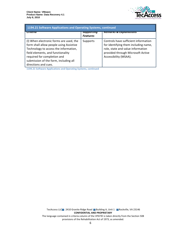

| 1194.21 Software Applications and Operating Systems, continued                                                                                                                                                                                                   |                                     |                                                                                                                                                                                 |
|------------------------------------------------------------------------------------------------------------------------------------------------------------------------------------------------------------------------------------------------------------------|-------------------------------------|---------------------------------------------------------------------------------------------------------------------------------------------------------------------------------|
| प्तारशाव                                                                                                                                                                                                                                                         | <b>Эиррогипц</b><br><b>Features</b> | Remarks & Explanations                                                                                                                                                          |
| (I) When electronic forms are used, the<br>form shall allow people using Assistive<br>Technology to access the information,<br>field elements, and functionality<br>required for completion and<br>submission of the form, including all<br>directions and cues. | Supports                            | Controls have sufficient information<br>for identifying them including name,<br>role, state and value information<br>provided through Microsoft Active<br>Accessibility (MSAA). |

1194.21 Software Applications and Operating Systems, continued

TecAccess LLC 2410 Granite Ridge Road Building A, Unit 1 Rockville, VA 23146 **CONFIDENTIAL AND PROPRIETARY** The language contained in criteria column of the VPAT© is taken directly from the Section 508 provisions of the Rehabilitation Act of 1973, as amended.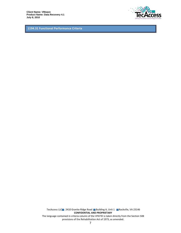**Client Name: VMware** Product Name: Data Recovery 4.1 July 8, 2010



1194.31 Functional Performance Criteria

TecAccess LLC 2410 Granite Ridge Road Building A, Unit 1 Rockville, VA 23146 **CONFIDENTIAL AND PROPRIETARY** The language contained in criteria column of the VPAT© is taken directly from the Section 508 provisions of the Rehabilitation Act of 1973, as amended.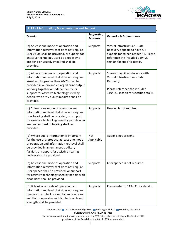

| 1194.41 Information, Documentation and Support                                                                                                                                                                                                                                                                                   |                                      |                                                                                                                                                                           |
|----------------------------------------------------------------------------------------------------------------------------------------------------------------------------------------------------------------------------------------------------------------------------------------------------------------------------------|--------------------------------------|---------------------------------------------------------------------------------------------------------------------------------------------------------------------------|
| <b>Criteria</b>                                                                                                                                                                                                                                                                                                                  | <b>Supporting</b><br><b>Features</b> | <b>Remarks &amp; Explanations</b>                                                                                                                                         |
| (a) At least one mode of operation and<br>information retrieval that does not require<br>user vision shall be provided, or support for<br>assistive technology used by people who<br>are blind or visually impaired shall be<br>provided.                                                                                        | Supports                             | Virtual Infrastructure - Data<br>Recovery appears to have full<br>support for screen reader AT. Please<br>reference the included 1194.21<br>section for specific details. |
| (b) At least one mode of operation and<br>information retrieval that does not require<br>visual acuity greater than 20/70 shall be<br>provided in audio and enlarged print output<br>working together or independently, or<br>support for assistive technology used by<br>people who are visually impaired shall be<br>provided. | Supports                             | Screen magnifiers do work with<br>Virtual Infrastructure - Data<br>Recovery.<br>Please reference the included<br>1194.21 section for specific details.                    |
| (c) At least one mode of operation and<br>information retrieval that does not require<br>user hearing shall be provided, or support<br>for assistive technology used by people who<br>are deaf or hard of hearing shall be<br>provided.                                                                                          | Supports                             | Hearing is not required.                                                                                                                                                  |
| (d) Where audio information is important<br>for the use of a product, at least one mode<br>of operation and information retrieval shall<br>be provided in an enhanced auditory<br>fashion, or support for assistive hearing<br>devices shall be provided.                                                                        | Not<br>Applicable                    | Audio is not present.                                                                                                                                                     |
| (e) At least one mode of operation and<br>information retrieval that does not require<br>user speech shall be provided, or support<br>for assistive technology used by people with<br>disabilities shall be provided.                                                                                                            | Supports                             | User speech is not required.                                                                                                                                              |
| (f) At least one mode of operation and<br>information retrieval that does not require<br>fine motor control or simultaneous actions<br>and that is operable with limited reach and<br>strength shall be provided.                                                                                                                | Supports                             | Please refer to 1194.21 for details.                                                                                                                                      |

TecAccess LLC 2410 Granite Ridge Road Building A, Unit 1 Rockville, VA 23146 **CONFIDENTIAL AND PROPRIETARY** 

The language contained in criteria column of the VPAT© is taken directly from the Section 508 provisions of the Rehabilitation Act of 1973, as amended.